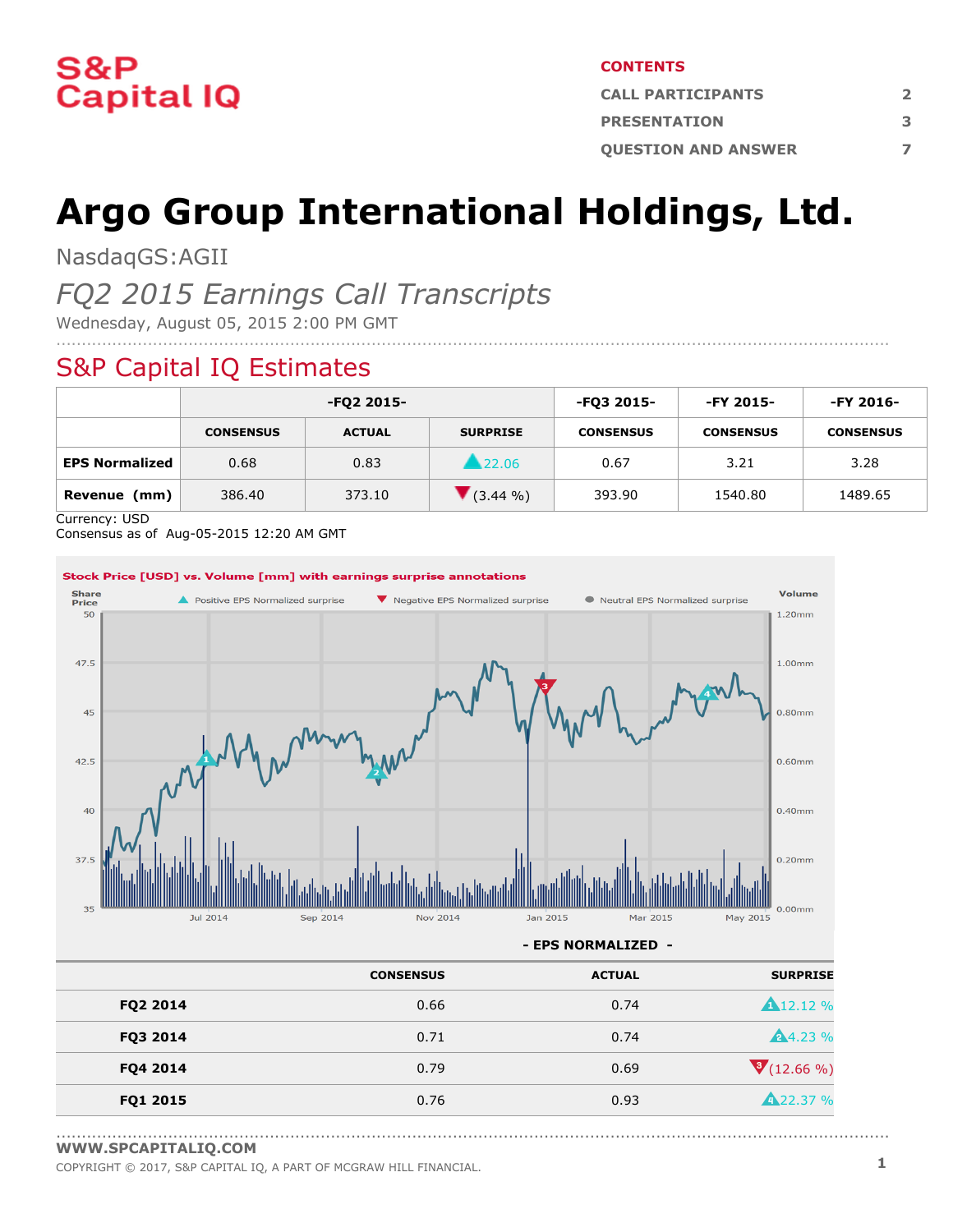

#### **CONTENTS**

| <b>CALL PARTICIPANTS</b>   |   |
|----------------------------|---|
| <b>PRESENTATION</b>        | 3 |
| <b>OUESTION AND ANSWER</b> |   |

# **Argo Group International Holdings, Ltd.**

NasdaqGS:AGII

### *FQ2 2015 Earnings Call Transcripts*

Wednesday, August 05, 2015 2:00 PM GMT

#### S&P Capital IQ Estimates

|                       |                  | -FQ2 2015-    |                 | -FQ3 2015-       | -FY 2015-        | -FY 2016-        |
|-----------------------|------------------|---------------|-----------------|------------------|------------------|------------------|
|                       | <b>CONSENSUS</b> | <b>ACTUAL</b> | <b>SURPRISE</b> | <b>CONSENSUS</b> | <b>CONSENSUS</b> | <b>CONSENSUS</b> |
| <b>EPS Normalized</b> | 0.68             | 0.83          | 22.06           | 0.67             | 3.21             | 3.28             |
| Revenue<br>(mm)       | 386.40           | 373.10        | $(3.44\% )$     | 393.90           | 1540.80          | 1489.65          |

....................................................................................................................................................................

Currency: USD

Consensus as of Aug-05-2015 12:20 AM GMT



|          | <b>CONSENSUS</b> | <b>ACTUAL</b> | <b>SURPRISE</b>    |
|----------|------------------|---------------|--------------------|
| FQ2 2014 | 0.66             | 0.74          | <b>A</b> 12.12 %   |
| FQ3 2014 | 0.71             | 0.74          | <b>A</b> 4.23 %    |
| FQ4 2014 | 0.79             | 0.69          | $\sqrt{(12.66\%)}$ |
| FQ1 2015 | 0.76             | 0.93          | <b>A</b> 22.37 %   |
|          |                  |               |                    |

<sup>....................................................................................................................................................................</sup> **[WWW.SPCAPITALIQ.COM](https://www.capitaliq.com/home.aspx)**

COPYRIGHT © 2017, S&P CAPITAL IQ, <sup>A</sup> PART OF MCGRAW HILL FINANCIAL. **1**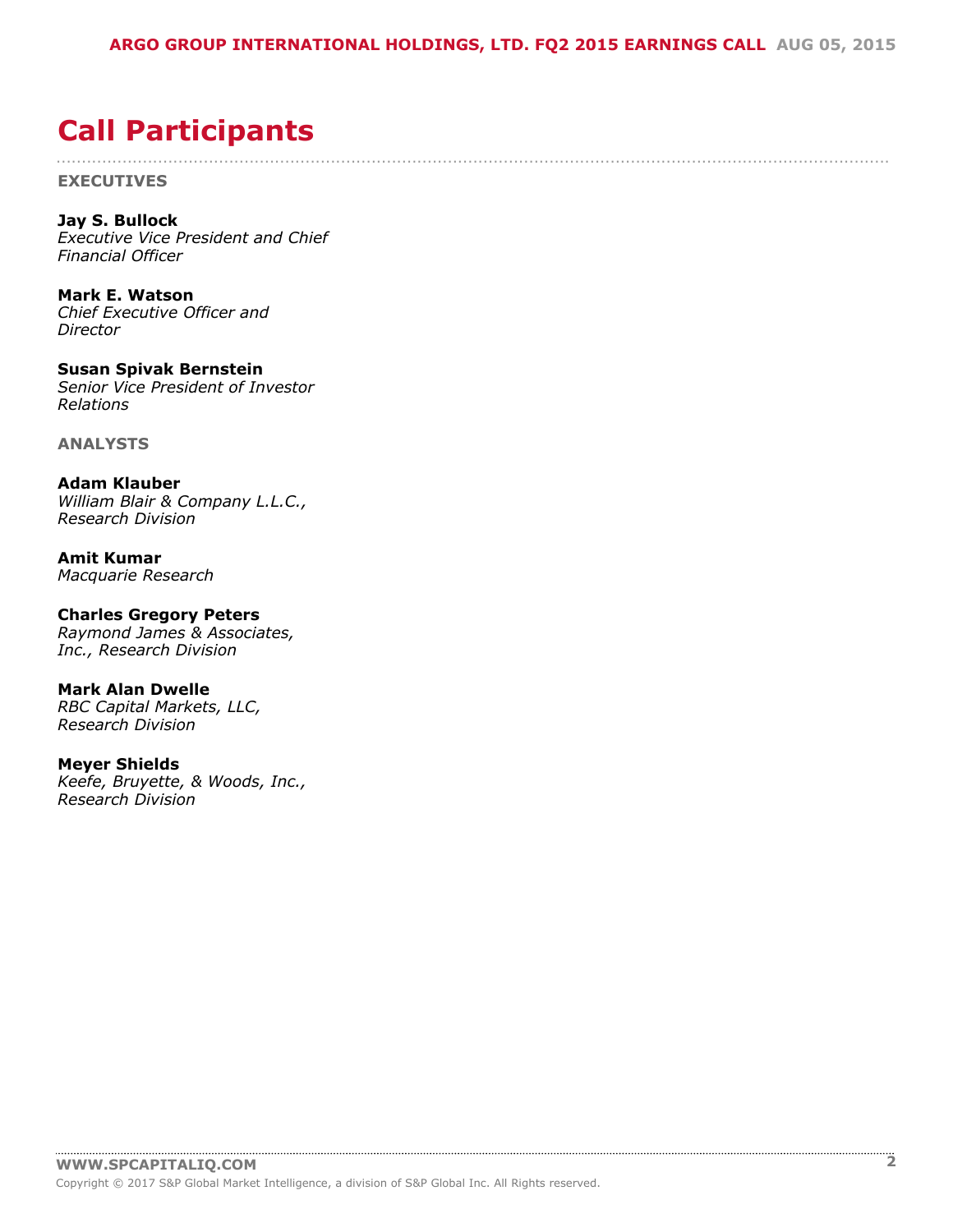## $!$  " # \$

<span id="page-1-0"></span>

| # # # # # #<br># # # # # # # # # # # # # # # # # # # #<br>$\%$<br>8 <sup>o</sup>                                                                                                                                                                                                                                            |
|-----------------------------------------------------------------------------------------------------------------------------------------------------------------------------------------------------------------------------------------------------------------------------------------------------------------------------|
| $'$ ( )* +!,                                                                                                                                                                                                                                                                                                                |
| $$ + #$<br>$\overline{\phantom{a}}$                                                                                                                                                                                                                                                                                         |
| $*$ \$ # " - , ). #\$ . #                                                                                                                                                                                                                                                                                                   |
| $\overline{\phantom{a}}$                                                                                                                                                                                                                                                                                                    |
| $0 \t1 \t2 \t*3.$<br>$1$ " #\$#\$ \$%                                                                                                                                                                                                                                                                                       |
| $\begin{array}{ccccc}\n1 & 2 & 1 \\ & \& & \n\end{array}$                                                                                                                                                                                                                                                                   |
| 4 $\frac{1}{3}$ , $\frac{5}{6}$ , $\frac{5+}{3}$ , $\frac{5+}{3}$ , $\frac{5+}{3}$ , $\frac{5+}{3}$ , $\frac{5+}{3}$ , $\frac{5+}{3}$ , $\frac{5+}{3}$ , $\frac{5+}{3}$ , $\frac{5+}{3}$ , $\frac{5+}{3}$ , $\frac{5+}{3}$ , $\frac{5+}{3}$ , $\frac{5+}{3}$ , $\frac{5+}{3}$ , $\frac{5+}{3}$ , $\frac{5+}{3}$ , $\frac{5$ |
|                                                                                                                                                                                                                                                                                                                             |
| $\%$<br>$$ \%$<br>$\ddot{+}$                                                                                                                                                                                                                                                                                                |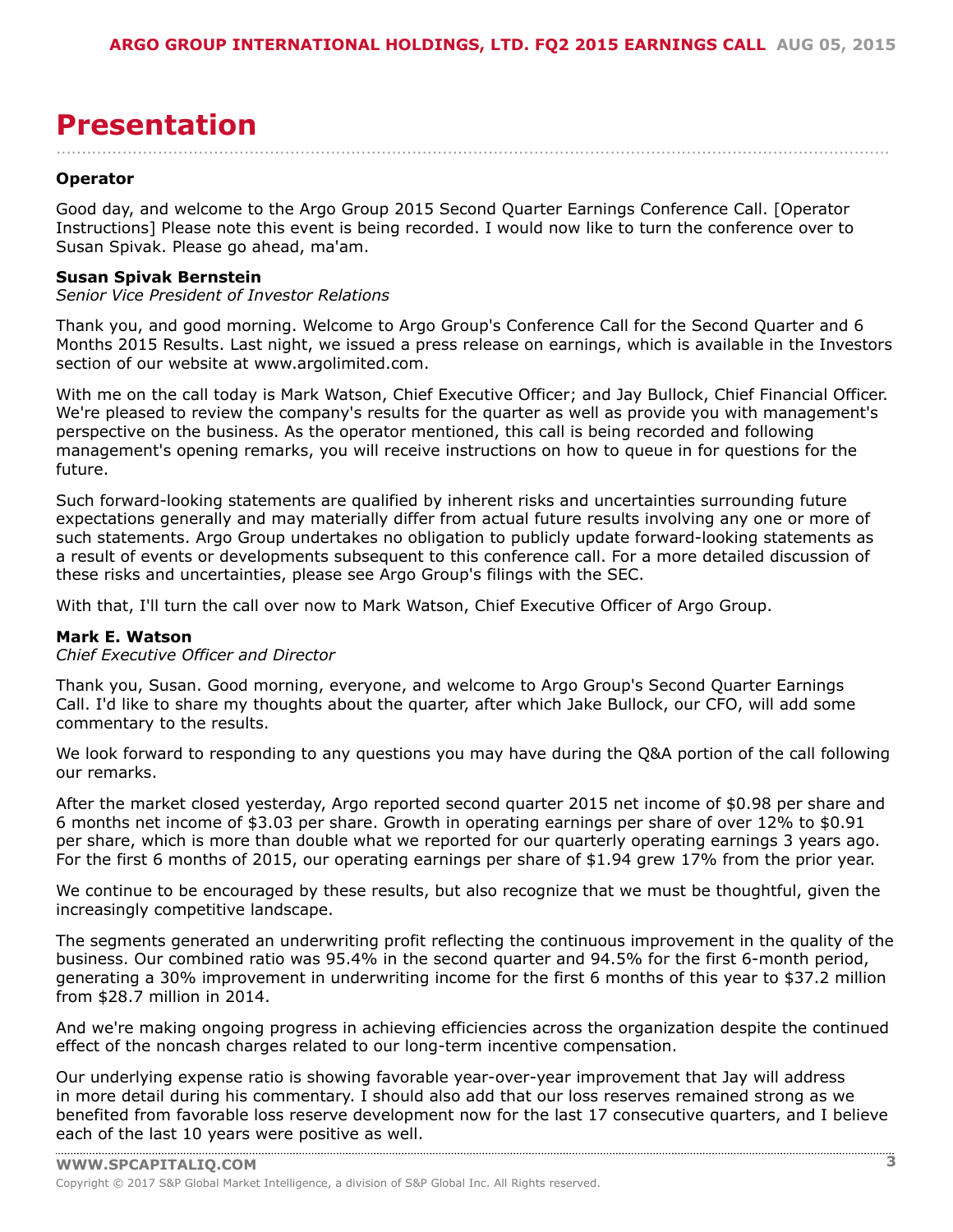## <span id="page-2-0"></span>

| $"$ . +                                                                                                                                                                                                                                                                                                                                                                                                                                                                                             |                  |                                                                                                           |                                                                                                                                                                                                                                                                                                                     |     |                                                                                                                                                                                                                                                                                                                                         |                                                           |                                       |
|-----------------------------------------------------------------------------------------------------------------------------------------------------------------------------------------------------------------------------------------------------------------------------------------------------------------------------------------------------------------------------------------------------------------------------------------------------------------------------------------------------|------------------|-----------------------------------------------------------------------------------------------------------|---------------------------------------------------------------------------------------------------------------------------------------------------------------------------------------------------------------------------------------------------------------------------------------------------------------------|-----|-----------------------------------------------------------------------------------------------------------------------------------------------------------------------------------------------------------------------------------------------------------------------------------------------------------------------------------------|-----------------------------------------------------------|---------------------------------------|
| * \$ # " - , ). # \$ . #                                                                                                                                                                                                                                                                                                                                                                                                                                                                            |                  |                                                                                                           |                                                                                                                                                                                                                                                                                                                     |     |                                                                                                                                                                                                                                                                                                                                         |                                                           |                                       |
| 0 (<br>$\begin{array}{cccccccccccc} 0 & ( & & & & \#1 & & \$ & ( & ! & & \text{\texttt{m}} & & \text{\texttt{m}} & & \text{\texttt{m}} & & \text{\texttt{m}} & & \text{\texttt{m}} & & \text{\texttt{m}} & & \text{\texttt{m}} & & \text{\texttt{m}} & & \text{\texttt{m}} & & \text{\texttt{m}} & & \text{\texttt{m}} & & \text{\texttt{m}} & & \text{\texttt{m}} & & \text{\texttt{m}} & & \text{\texttt{m}} & & \text{\texttt{m}} & & \text{\texttt{m}} & & \text{\texttt{m}} & & \text{\texttt$ |                  |                                                                                                           |                                                                                                                                                                                                                                                                                                                     |     |                                                                                                                                                                                                                                                                                                                                         |                                                           |                                       |
| " ( $($ #                                                                                                                                                                                                                                                                                                                                                                                                                                                                                           |                  |                                                                                                           |                                                                                                                                                                                                                                                                                                                     |     |                                                                                                                                                                                                                                                                                                                                         |                                                           |                                       |
| 1 / ( $\&$ 1 ! $" + 4$ ( $-$ "" $"$ \$ ( $#$                                                                                                                                                                                                                                                                                                                                                                                                                                                        |                  |                                                                                                           |                                                                                                                                                                                                                                                                                                                     |     |                                                                                                                                                                                                                                                                                                                                         |                                                           |                                       |
| $\sqrt{2} + \frac{1}{2}$                                                                                                                                                                                                                                                                                                                                                                                                                                                                            |                  |                                                                                                           |                                                                                                                                                                                                                                                                                                                     |     |                                                                                                                                                                                                                                                                                                                                         |                                                           |                                       |
|                                                                                                                                                                                                                                                                                                                                                                                                                                                                                                     |                  |                                                                                                           |                                                                                                                                                                                                                                                                                                                     |     |                                                                                                                                                                                                                                                                                                                                         |                                                           |                                       |
| $\&$<br>$\overline{\phantom{0}}$ $\overline{\phantom{0}}$ $\overline{\phantom{0}}$ $\overline{\phantom{0}}$ $\overline{\phantom{0}}$ $\overline{\phantom{0}}$ $\overline{\phantom{0}}$ $\overline{\phantom{0}}$ $\overline{\phantom{0}}$ $\overline{\phantom{0}}$ $\overline{\phantom{0}}$ $\overline{\phantom{0}}$ $\overline{\phantom{0}}$ $\overline{\phantom{0}}$ $\overline{\phantom{0}}$ $\overline{\phantom{0}}$ $\overline{\phantom{0}}$ $\overline{\phantom{0}}$ $\overline{\$<br>8        | $\sim$ 1 $^{-1}$ | 8 <sup>o</sup>                                                                                            | &                                                                                                                                                                                                                                                                                                                   |     | $\begin{array}{cccc} & \text{"} & (9) & \text{?} \\ & \text{?} & \text{?} & \text{?} & \text{?} \end{array}$                                                                                                                                                                                                                            |                                                           | $\mathbf{I} = \mathbf{I}$<br>#        |
| $1 \quad$<br>$\mathbf{I}$                                                                                                                                                                                                                                                                                                                                                                                                                                                                           |                  |                                                                                                           | $\frac{1}{1}$ $\frac{1}{1}$ $\frac{1}{1}$ $\frac{1}{1}$ $\frac{1}{1}$ $\frac{1}{1}$ $\frac{1}{1}$ $\frac{1}{1}$ $\frac{1}{1}$ $\frac{1}{1}$ $\frac{1}{1}$ $\frac{1}{1}$ $\frac{1}{1}$ $\frac{1}{1}$ $\frac{1}{1}$ $\frac{1}{1}$ $\frac{1}{1}$ $\frac{1}{1}$ $\frac{1}{1}$ $\frac{1}{1}$ $\frac{1}{1}$ $\frac{1}{1}$ |     | $\qquad \qquad \textcircled{a} \qquad \textcircled{c} \qquad \qquad \textcircled{t} \qquad \qquad \textcircled{t}$                                                                                                                                                                                                                      |                                                           | "(                                    |
| $0 \quad ! \quad ' \quad !$<br>$!$ !!#- ( '<br>$($ !<br>" ' $:$ <#                                                                                                                                                                                                                                                                                                                                                                                                                                  |                  |                                                                                                           | $( 8 \cdot 1 )$<br>&                                                                                                                                                                                                                                                                                                |     | $($ $($ ! $)$                                                                                                                                                                                                                                                                                                                           | ; $? \nexists \phi > " " ! 2'$                            | $9($ "                                |
| $\mathsf{S}_{\mathsf{u}\mathsf{u}}$<br>8/                                                                                                                                                                                                                                                                                                                                                                                                                                                           |                  | $\pm$ 1.1                                                                                                 |                                                                                                                                                                                                                                                                                                                     |     | -99                                                                                                                                                                                                                                                                                                                                     | @<br>#                                                    | $\mathbf{I}$                          |
| $\mathbf{H} = \mathbf{H} + \mathbf{H}$ .<br>$\mathbf{u}$                                                                                                                                                                                                                                                                                                                                                                                                                                            |                  | $8 -$<br>$\sim$ 11<br>$\mathbf{I} = \mathbf{I} \times \mathbf{I}$<br>$11 -$<br>$\mathbf{I}$<br>! 8 ! 8  # | $\#$ ! ( !                                                                                                                                                                                                                                                                                                          | & " | $($ $\qquad$ $\qquad$ $\qquad$ $\qquad$ $\qquad$ $\qquad$ $\qquad$ $\qquad$ $\qquad$ $\qquad$ $\qquad$ $\qquad$ $\qquad$ $\qquad$ $\qquad$ $\qquad$ $\qquad$ $\qquad$ $\qquad$ $\qquad$ $\qquad$ $\qquad$ $\qquad$ $\qquad$ $\qquad$ $\qquad$ $\qquad$ $\qquad$ $\qquad$ $\qquad$ $\qquad$ $\qquad$ $\qquad$ $\qquad$ $\qquad$ $\qquad$ | $\mathcal{P}(\mathcal{C})=\mathcal{C}(\mathcal{C})$<br>9( | 6 &<br>$\frac{1}{2}$<br>$\frac{1}{6}$ |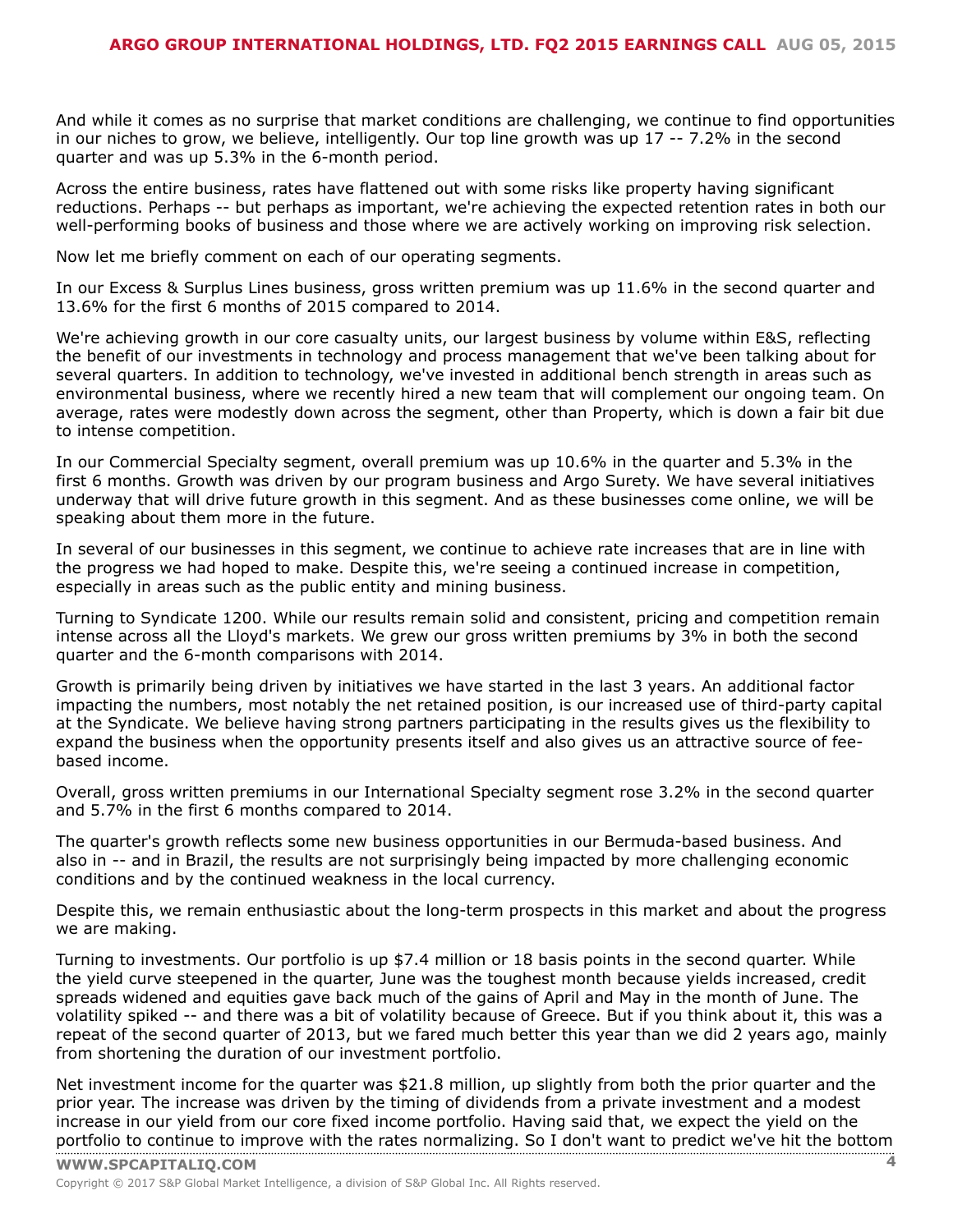$\sim 10^{-10}$   $^{-10}$  $\mathbf{L}$  $\mathbf{1} \qquad \mathbf{1} \qquad \mathbf{1} \qquad \mathbf{1} \qquad \mathbf{1} \qquad \mathbf{1} \qquad \mathbf{1} \qquad \mathbf{1} \qquad \mathbf{1} \qquad \mathbf{1} \qquad \mathbf{1} \qquad \mathbf{1} \qquad \mathbf{1} \qquad \mathbf{1} \qquad \mathbf{1} \qquad \mathbf{1} \qquad \mathbf{1} \qquad \mathbf{1} \qquad \mathbf{1} \qquad \mathbf{1} \qquad \mathbf{1} \qquad \mathbf{1} \qquad \mathbf{1} \qquad \mathbf{1} \qquad \mathbf{$  $\label{eq:1.1} \mathbf{u} = \mathbf{u} + \mathbf{u} + \mathbf{u} + \mathbf{u} + \mathbf{u} + \mathbf{u} + \mathbf{u} + \mathbf{u} + \mathbf{u} + \mathbf{u} + \mathbf{u} + \mathbf{u} + \mathbf{u} + \mathbf{u} + \mathbf{u} + \mathbf{u} + \mathbf{u} + \mathbf{u} + \mathbf{u} + \mathbf{u} + \mathbf{u} + \mathbf{u} + \mathbf{u} + \mathbf{u} + \mathbf{u} + \mathbf{u} + \mathbf{u} + \mathbf{u} + \mathbf{u} + \$  $\frac{1}{2}$   $\frac{1}{2}$   $\frac{1}{2}$   $\frac{1}{2}$   $\frac{1}{2}$   $\frac{1}{2}$   $\frac{1}{2}$   $\frac{1}{2}$   $\frac{1}{2}$   $\frac{1}{2}$  $A 8'$  $8<sub>1</sub>$  $1 /$  $8/$  $($  "  $\frac{1}{2}$   $\frac{1}{2}$   $\frac{1}{2}$   $\frac{1}{2}$  $\mathbf{1}$  $\sim 10^{-10}$  )  $\frac{1}{2}$   $\frac{1}{2}$   $\frac{1}{2}$   $\frac{1}{2}$   $\frac{1}{2}$   $\frac{1}{2}$   $\frac{1}{2}$   $\frac{1}{2}$   $\frac{1}{2}$   $\frac{1}{2}$   $\frac{1}{2}$   $\frac{1}{2}$   $\frac{1}{2}$   $\frac{1}{2}$   $\frac{1}{2}$   $\frac{1}{2}$   $\frac{1}{2}$   $\frac{1}{2}$   $\frac{1}{2}$   $\frac{1}{2}$   $\frac{1}{2}$   $\frac{1}{2}$   $O($  $\Rightarrow$  $\sim 1$  $\mathbf{L}$  $9($  $! = 1# $$ & ! '  $\begin{array}{ccc}\n4 & & & (1) \\
& \phantom{0} & & \phantom{0} \\
& \phantom{0} & & \phantom{0} \\
& \phantom{0} & & \phantom{0} \\
& \phantom{0} & & \phantom{0} \\
\end{array}$  $\frac{1}{2}$   $\frac{1}{2}$   $\frac{1}{2}$   $\frac{1}{2}$   $\frac{1}{2}$   $\frac{1}{2}$   $\frac{1}{2}$   $\frac{1}{2}$   $\frac{1}{2}$   $\frac{1}{2}$   $\frac{1}{2}$   $\frac{1}{2}$   $\frac{1}{2}$   $\frac{1}{2}$   $\frac{1}{2}$   $\frac{1}{2}$   $\frac{1}{2}$   $\frac{1}{2}$   $\frac{1}{2}$   $\frac{1}{2}$   $\frac{1}{2}$   $\frac{1}{2}$  9(  $\begin{array}{cccccccccccc} 0 & 9 & ( & & \text{}/\text{!} & \text{&} & \text{&} & \text{!} & \text{!} & \text{!} & \text{``} & \text{``} & \text{!} & \text{!} & \text{!} & \text{!} & \text{!} & \text{!} & \text{!} & \text{!} & \text{!} & \text{!} & \text{!} & \text{!} & \text{!} & \text{!} & \text{!} & \text{!} & \text{!} & \text{!} & \text{!} & \text{!} & \text{!} & \text{!} & \text{!} & \text{!} & \text{!} &$  $\frac{1}{2}$  (!!# \$  $\mathsf{B}$  !  $\frac{1}{2}$  8  $\frac{1}{2}$  (1 1 (1  $\frac{1}{2}$  (1 )  $\frac{1}{2}$  (1 )  $\frac{1}{2}$  (1 )  $\frac{1}{2}$  (1 )  $\frac{1}{2}$ 11 May 2011 & 0(  $\frac{9}{\sqrt{1-\frac{1}{2}}}$  $8 /$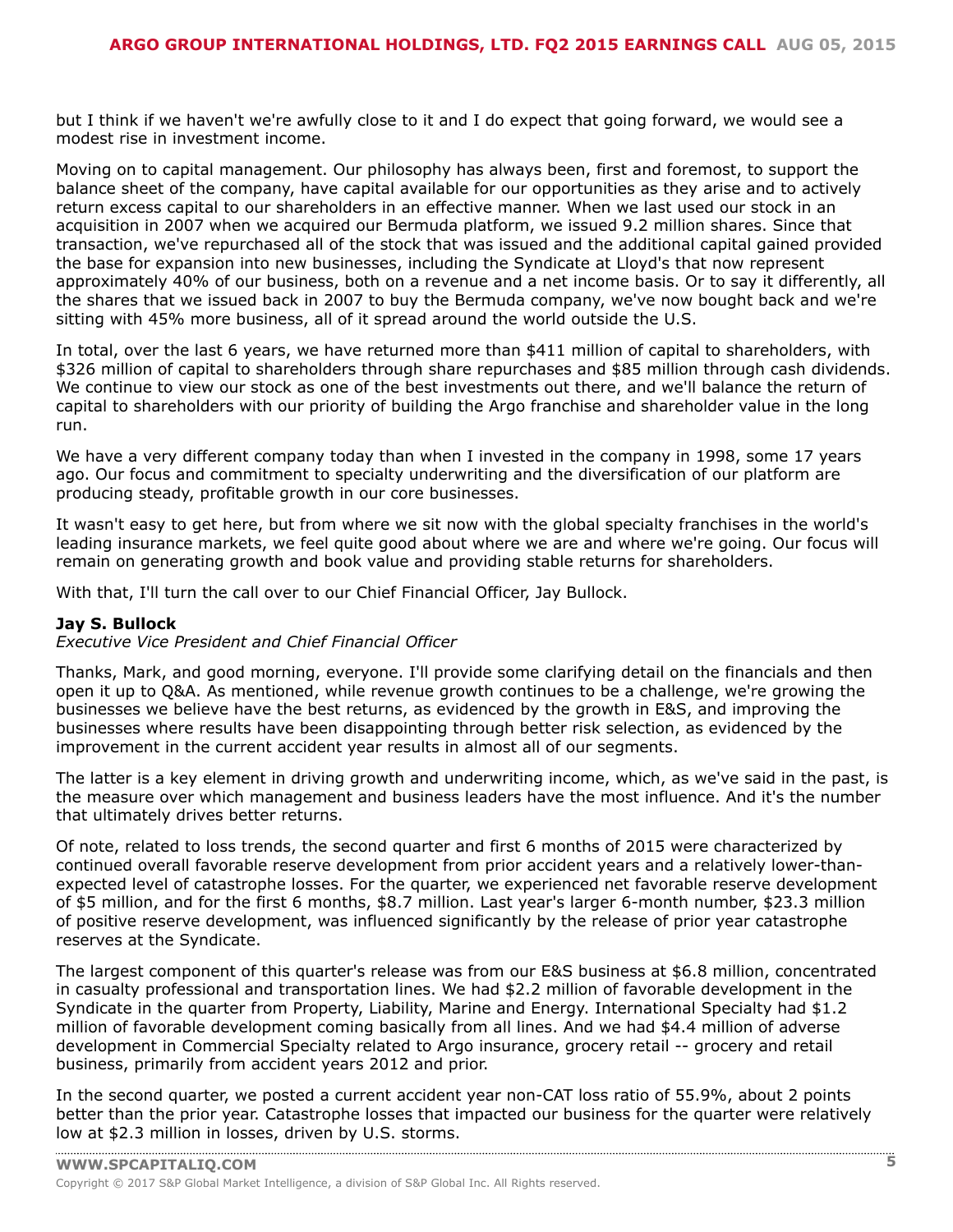$8/$  $\frac{1}{8}$  $:= 2$ 

 $\begin{array}{ccc} 1 & & ( & \\ & & \end{array}$  $\sim 1$  .  $($  #

 $\begin{array}{ccc} 1 & \quad & \quad / \quad ( \quad & \quad \quad \end{array}$  $($  "8 - "" 6 7( #

 $($   $)^*$  +!,

 $\begin{array}{cccccccccccc} 0 & & 1 & & & & & & & \# & / & & & | & & & \\\ & & & ( & \star & \$\#\$\,!\,!\, \end{array} \hspace{0.2cm} \begin{array}{cccccccc} \ast & & & & & & & \sharp & \# & & & | & & \ast & & & \\\ & & & ( & \star & & & & \sharp & \sharp & & & \\\ & & & ( & \star & & & \sharp & \sharp & & & \\\ & & & ( & \star & & & \sharp & \sharp & & & \\\ & & & & ( & \star & & & \sharp & \& & & \\\ \end{array} \hspace{0.2cm} \begin{array}{cccccccc} \ast & & & & & & \sharp & \# & & &$  $0 \qquad !$  $\mathbf{I}$ &  $\begin{array}{ccc} & & \vdots & \mathbf{8} \end{array}$  $\sim 10^{-11}$  .

 $\frac{1}{2} \int_{0}^{2\pi} \frac{1}{2} \left( \frac{1}{2} \right) \left( \frac{1}{2} \right) \left( \frac{1}{2} \right) \left( \frac{1}{2} \right) \left( \frac{1}{2} \right)$  $\sim$   $\sim$ 

 $\begin{array}{cccc} 0 & 1 & 1 & 1 \\ & 0 & 1 & 1 \\ & & 0 & 9 \end{array}$  $0 \qquad \qquad \vdots \qquad \qquad$ 

 $\frac{1}{1}$  9( &  $\frac{1}{1}$  (  $\frac{1}{1}$   $\frac{1}{1}$   $\frac{1}{1}$   $\frac{1}{1}$   $\frac{1}{1}$   $\frac{1}{1}$   $\frac{1}{1}$   $\frac{1}{1}$   $\frac{1}{1}$   $\frac{1}{1}$   $\frac{1}{1}$   $\frac{1}{1}$   $\frac{1}{1}$   $\frac{1}{1}$   $\frac{1}{1}$   $\frac{1}{1}$   $\frac{1}{1}$   $\frac{1}{1}$   $\frac{1}{1}$   $\frac{$  $\sqrt{2}$ & 8. : # '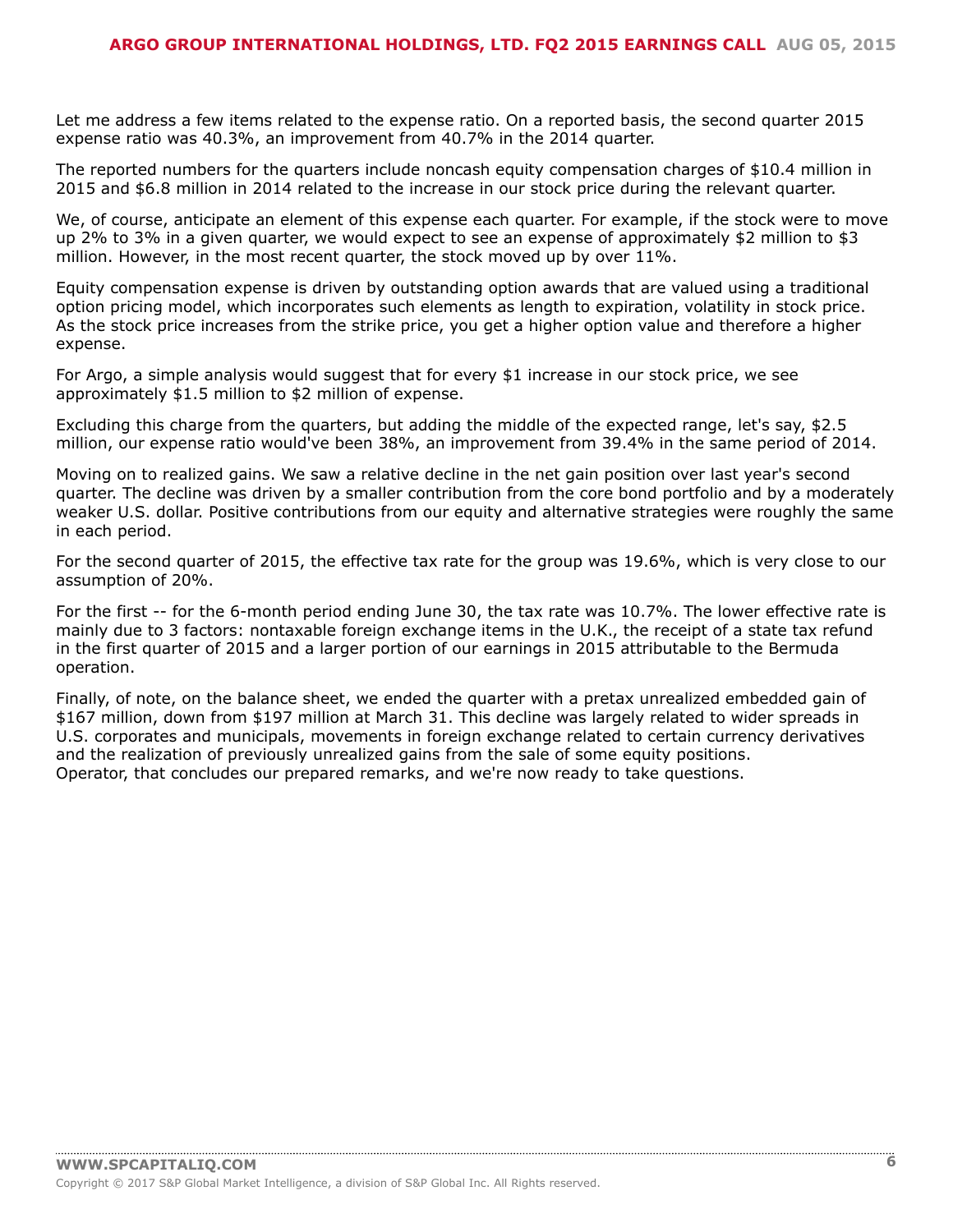$9($  $#$  $1$  " (!  $\ddot{z}$  =  $\begin{array}{cccccccc} 4 & 1 & 1 & & & & (1 & & & & 8 & 1 \\ 8 & & & & & 1 & ( & & & & & 1 & 1 \\ & & 1 & 1 & & & & & & & ( & & & & & 4 \end{array}$  $+9$ ( $\qquad \qquad \frac{1}{1}$  $($   $($ !  $\#$  $\left($  $$!$   $\:!$  $4 \t! #$ 9 (#0 & ! #1 ! &  $9($  #0 & !  $^{1}$  !  $^{1}$  :  $^{1}$  :  $^{1}$  :  $^{1}$  :  $^{1}$  :  $^{1}$  :  $^{1}$  :  $^{1}$  :  $^{1}$  :  $^{1}$  :  $^{1}$  :  $^{1}$  :  $^{1}$  :  $^{1}$  :  $^{1}$  :  $^{1}$  :  $^{1}$  :  $^{1}$  :  $^{1}$  :  $^{1}$  :  $^{1}$  :  $^{1}$  :  $^{1}$  :  $\frac{1}{2}$  9( " ) "" 4 " (& ! ; #2> & ! ! ( 8  $\frac{1}{2}$   $\frac{1}{2}$   $\frac{1}{2}$  $\begin{array}{ccccccccccc} \text{"} & \text{!} & & \text{?} & & & & & \text{?} & & & & \text{?} & & & & \text{?} & & & & \text{?} & & & & \text{?} & & & & \text{?} & & & & \text{?} & & & & \text{?} & & & \text{?} & & & \text{?} & & & \text{?} & & & \text{?} & & & \text{?} & & & \text{?} & & & \text{?} & & & \text{?} & & & \text{?} & & & \text{?} & & & \text{?} & & & \text{?} & & & \text{?} & & & \text{?} & & & \text{?} &$ 8  $\mathbf{I}$  $^{\prime\prime}$  (  $8 \quad 1 \quad 1$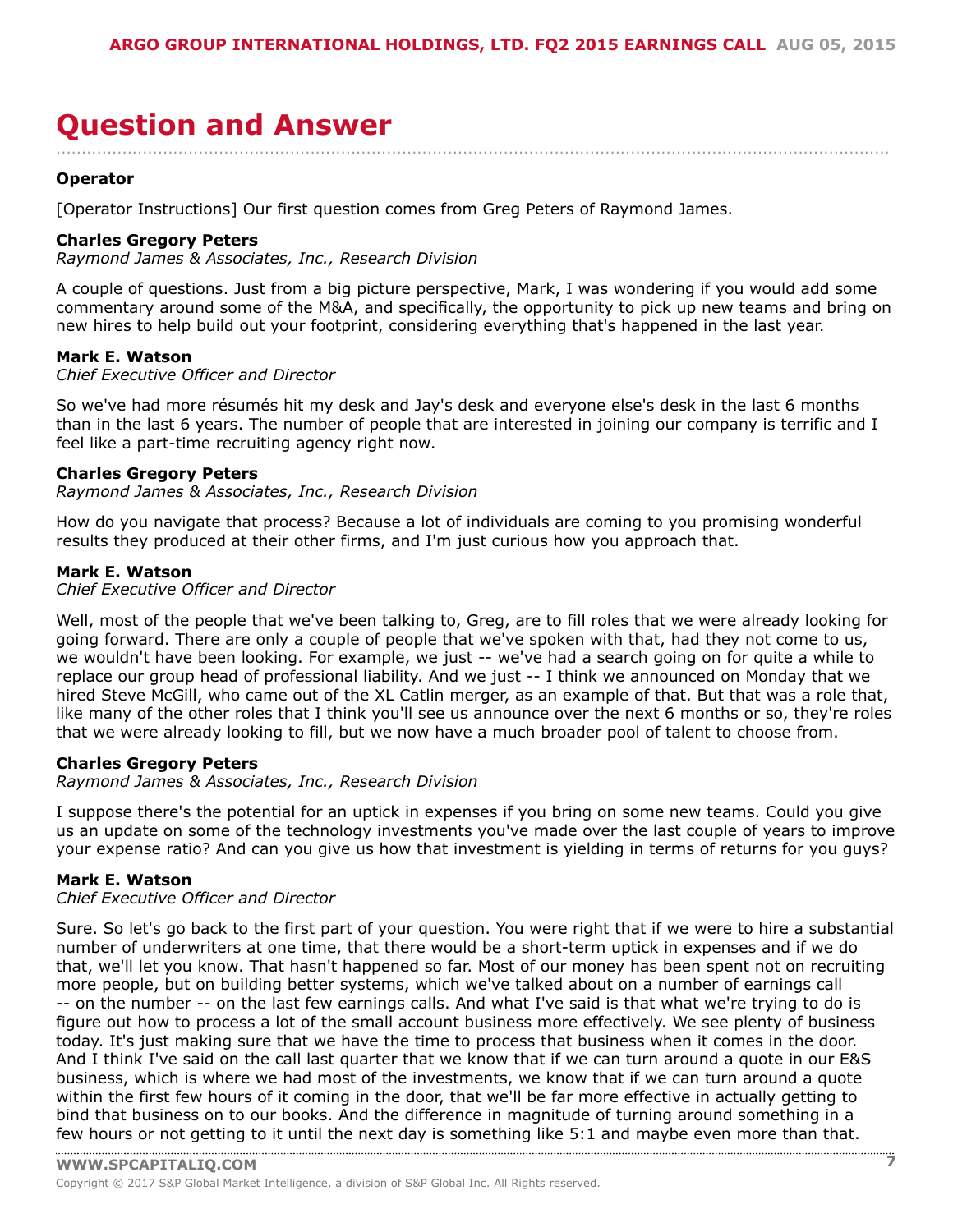<span id="page-6-0"></span>

| $*$ . \$ +# #0 #\$6.                                                            |                          |     |
|---------------------------------------------------------------------------------|--------------------------|-----|
| $\frac{1}{2}$ $\frac{1}{2}$ +                                                   |                          |     |
|                                                                                 | $\frac{1}{2}$ "% ' 6' !# |     |
| $\begin{array}{cccc} .\$ & .5+ & .5+ & .5 \ & . & . & .\$ & . & .\ \end{array}$ |                          |     |
|                                                                                 |                          |     |
| $, \qquad$ $$ + #$                                                              |                          |     |
| $\frac{1}{2}$                                                                   |                          |     |
| $4$ , $\sqrt[5]{5}$ , $5 +$ ( \$<br>( ) % \$%                                   |                          |     |
| $, \qquad$ \$ + #                                                               |                          |     |
|                                                                                 |                          |     |
|                                                                                 |                          |     |
| $4 \t 3 \t 5 + ( \t 3 \t 5 \t 6 \t 7 \t 8 \t 96$<br>$$ \%$                      |                          |     |
| $\sqrt{2} + \#$                                                                 |                          |     |
|                                                                                 |                          |     |
| $\begin{pmatrix} 1 \\ 1 \end{pmatrix}$                                          |                          | " & |
|                                                                                 |                          |     |
|                                                                                 |                          |     |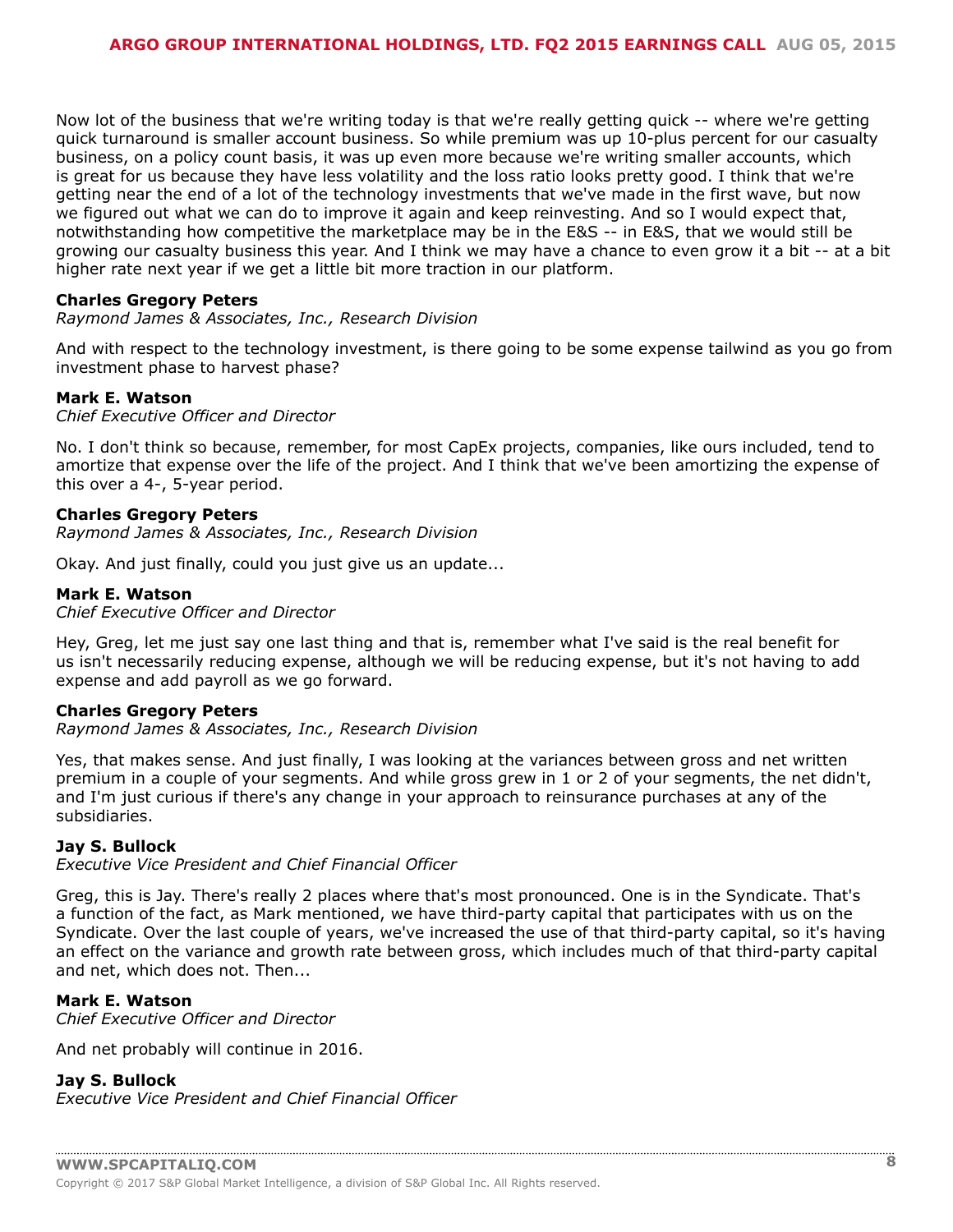$\begin{array}{cccccccc} \text{\$} & & \text{\$} & & \text{\$} & & \text{\$} & & \text{\$} & & \text{\$} & \text{\$} & \text{\$} & \text{\$} & \text{\$} & \text{\$} & \text{\$} & \text{\$} & \text{\$} & \text{\$} & \text{\$} & \text{\$} & \text{\$} & \text{\$} & \text{\$} & \text{\$} & \text{\$} & \text{\$} & \text{\$} & \text{\$} & \text{\$} & \text{\$} & \text{\$} & \text{\$} & \text{\$} & \text{\$} & \text{\$} & \text{\$} & \text{\$} & \text{\$  $\sqrt{2} + \frac{1}{2}$ - #\$ H(! " ( ( H(! (! ( ) ###  $\sqrt{5 + \#}$  $4 \t 3 \t 5 + ( \t 3 \t 5 \t 6 \t 7 \t 8 \t 96$  $$ \%$  $\overline{\phantom{a}}$  $'$  ( )\* +!, # 0  $/!$  $"$ (  $! 8$   $(!)$  $\frac{1}{2}$  /!  $\mathbf{u}$  $8 \t! # 0 \t# #$  $\sqrt{2} + \frac{1}{2}$  $8 \t\t (2 \#$ \$

 $($   $)$   $*$   $+$ !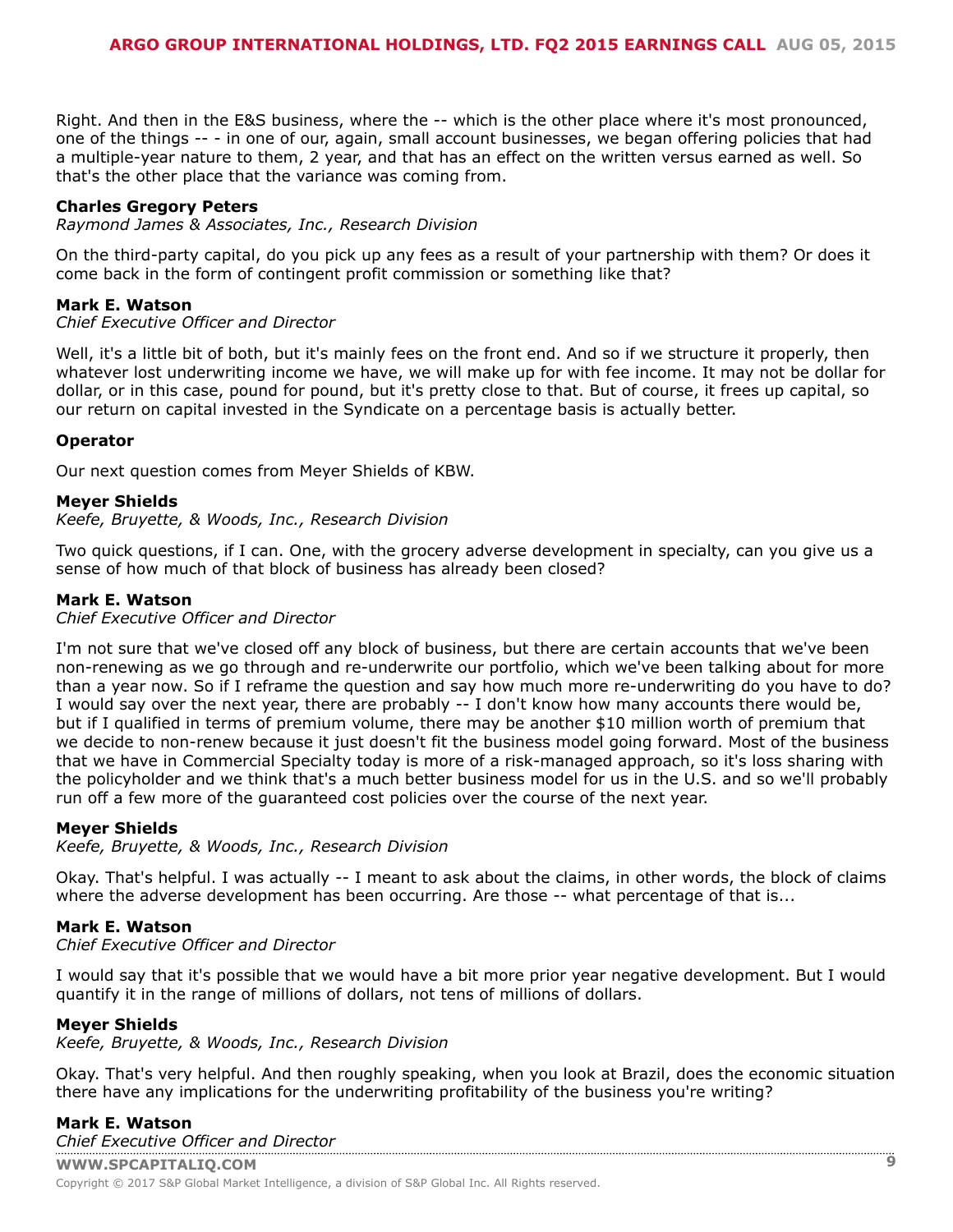$4 \t . $ .5 + ( . . $$ <br>  $7 \t 6 \t 7 \t 8 \t 96 \t 100 \t 111 \t 121 \t 131 \t 141 \t 151 \t 161 \t 161 \t 171 \t 181 \t 181 \t 191 \t 101 \t 111 \t 111 \t 121 \t 131 \t 141 \t 151 \t 161 \t 171 \t 181 \t 181 \t 191 \t 191 \t 191 \t 191 \t 191 \t 191 \t 191 \t 191$  $\sqrt{5 + \#}$  $($  (  $\mathbb{R}^n$  and  $\mathbb{R}^n$  $-$  ( 4 9 (! ' ! " ' ' ' ' F71 #  $($   $($ !  $, \qquad$  \$ + #  $\begin{array}{cccccccc}\n. & (1.2 & 4.1 & 0.35) \\
0.4 & . & 0.35 & .0.35\n\end{array}$  % 3.%  $\mathbb{R}^n \times \mathbb{R}^n$  $\sqrt{2} + \#$ 8 ( ! /!!! 8 8 ( )<br>9 ( " " ! " ! ! " ! " ! #  $\frac{1}{2}$  #7( & (  $9($  $+$  40 /!  $\uparrow$  4\$ ( ! & ( 7 @ ! ' ! (<br>+0 /!  $\uparrow$  4\$ ( ! & ' ( 2 )  $$ + #$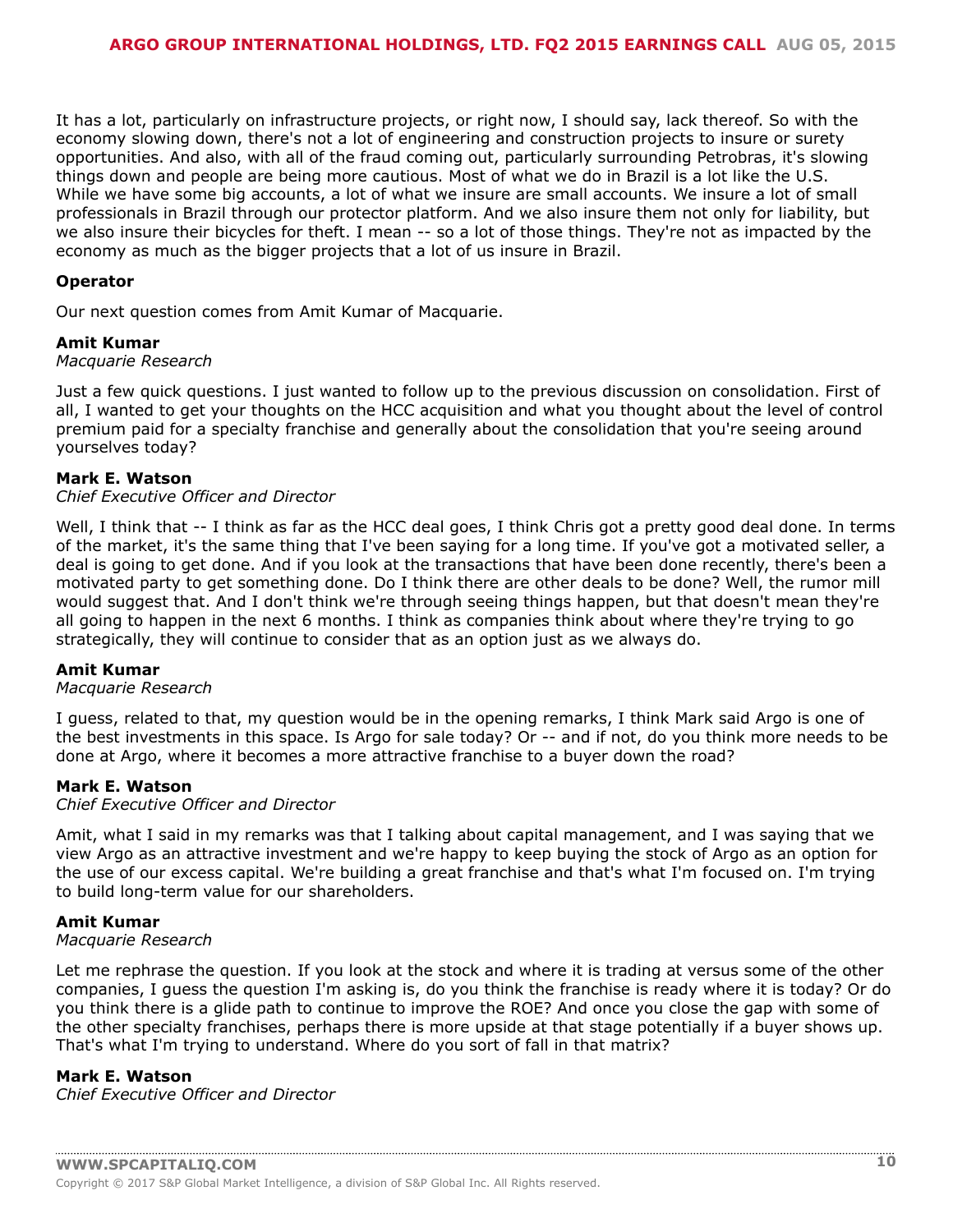$\ddot{ }$  .  $+$  $-$  (49(! '!" '\$' F(' "9(#  $\begin{array}{cc} 1 & 2 * 1 \\ 8 & 1 \end{array}$  $\left(1\right)$   $\left(1\right)$   $\left(1\right)$   $\left(1\right)$   $\left(1\right)$   $\left(1\right)$   $\left(1\right)$   $\left(1\right)$   $\left(1\right)$   $\left(1\right)$   $\left(1\right)$   $\left(1\right)$   $\left(1\right)$   $\left(1\right)$   $\left(1\right)$   $\left(1\right)$   $\left(1\right)$   $\left(1\right)$   $\left(1\right)$   $\left(1\right)$   $\left(1\right)$   $\left(1\right)$   $\sqrt{5 + t^2}$  $#$   $'$ !  $\begin{pmatrix} 1 & & & & \\ 1 & & & & \\ & & 1 & f & \\ & & & & \end{pmatrix}$  $\begin{array}{cc} 1 & 2 * 1 \\ 8 & 1 \end{array}$  $\frac{1}{2}$  –  $\frac{1}{2}$  –  $\frac{1}{2}$  $\mathfrak s$  $$ + #$  $\overline{\phantom{a}}$  $\begin{array}{cc} 1 & 2 * 1 \\ 8 & 1 \end{array}$  $\sqrt{5 + \#}$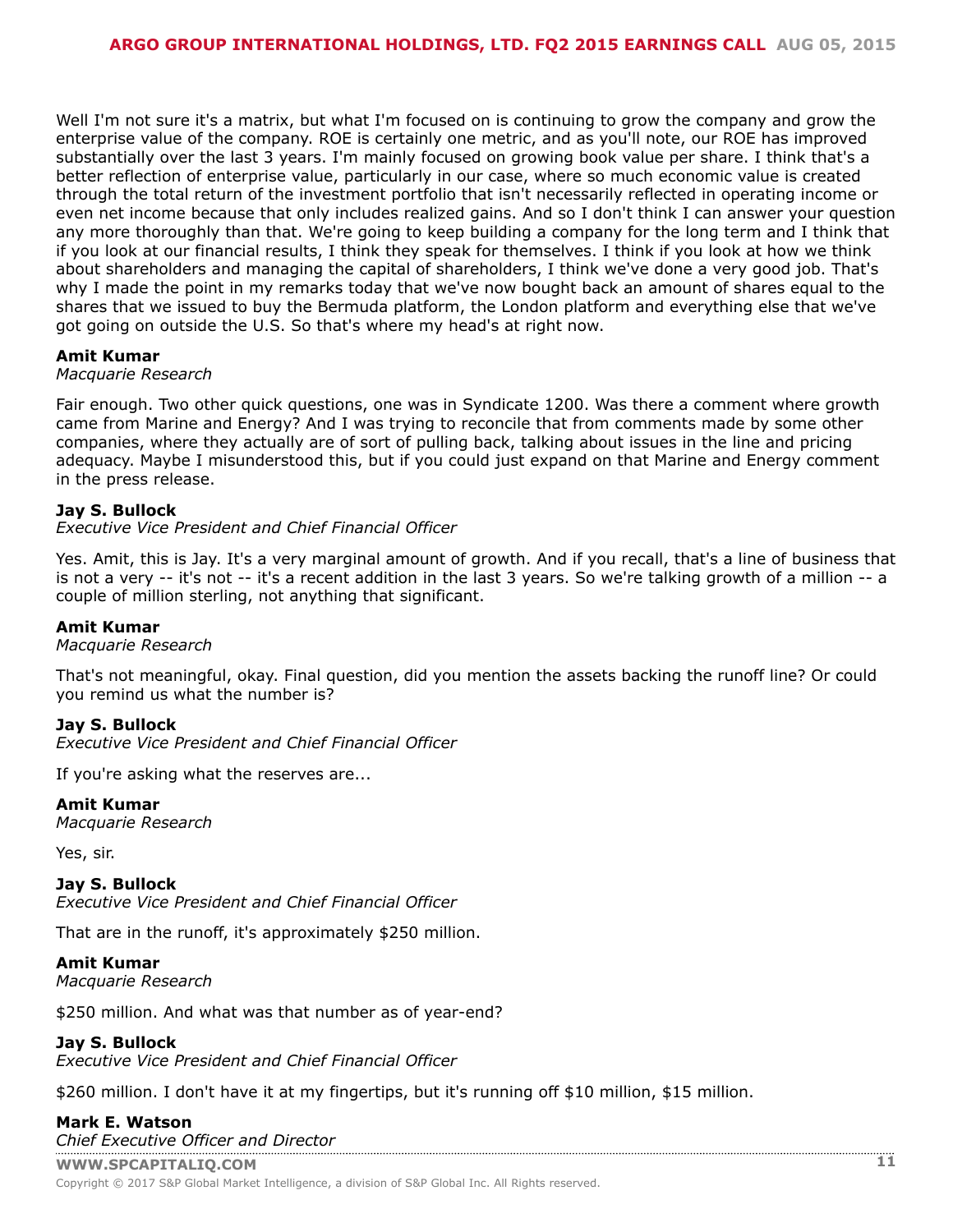H #0 /!  $\begin{array}{cc} 1 & 2 * 1 \\ 8 & 1 \end{array}$ 8 (#08 9(9(1 1 8 1 #1 1  $\begin{array}{|c|c|c|c|c|c|c|c|c|} \hline \end{array}$  8 (#08 9(9(1 1 8 1 #1 1  $\begin{array}{|c|c|c|c|c|c|c|c|} \hline \end{array}$  + 1 \$ 8 1  $\begin{array}{|c|c|c|c|c|c|c|} \hline \end{array}$  ( $\begin{array}{|c|c|c|c|c|c|c|} \hline \end{array}$  ( $\begin{array}{|c|c|c|c|c|c|c|} \hline \end$  $($   $)^*$  + !,  $1 \quad 2 * 1$  $8'$  $0$  /!  $'$  ( )\* +!, "  $( / 1 8 1 1 1 1 1$  $\begin{array}{cc} 1 & 2 * 1 \\ 8 & 1 \end{array}$ K!!#  $($   $)^*$  +!, 0 ("" /! 4' : ) ' #  $\begin{array}{cc} 1 & 2 * 1 \\ 8 & 1 \end{array}$  $\pm$  )  $\pm$  4\$ & & ! (' ! " |  $($   $)^*$  +!,  $\frac{1}{2}$  2  $\frac{1}{2}$   $\frac{1}{2}$   $\frac{1}{2}$   $\frac{1}{2}$   $\frac{1}{2}$   $\frac{1}{2}$   $\frac{1}{2}$   $\frac{1}{2}$   $\frac{1}{2}$   $\frac{1}{2}$   $\frac{1}{2}$   $\frac{1}{2}$   $\frac{1}{2}$   $\frac{1}{2}$   $\frac{1}{2}$   $\frac{1}{2}$   $\frac{1}{2}$   $\frac{1}{2}$   $\frac{1}{2}$   $\frac{1}{2}$   $\frac{1}{2}$  $\sqrt{5 + \#}$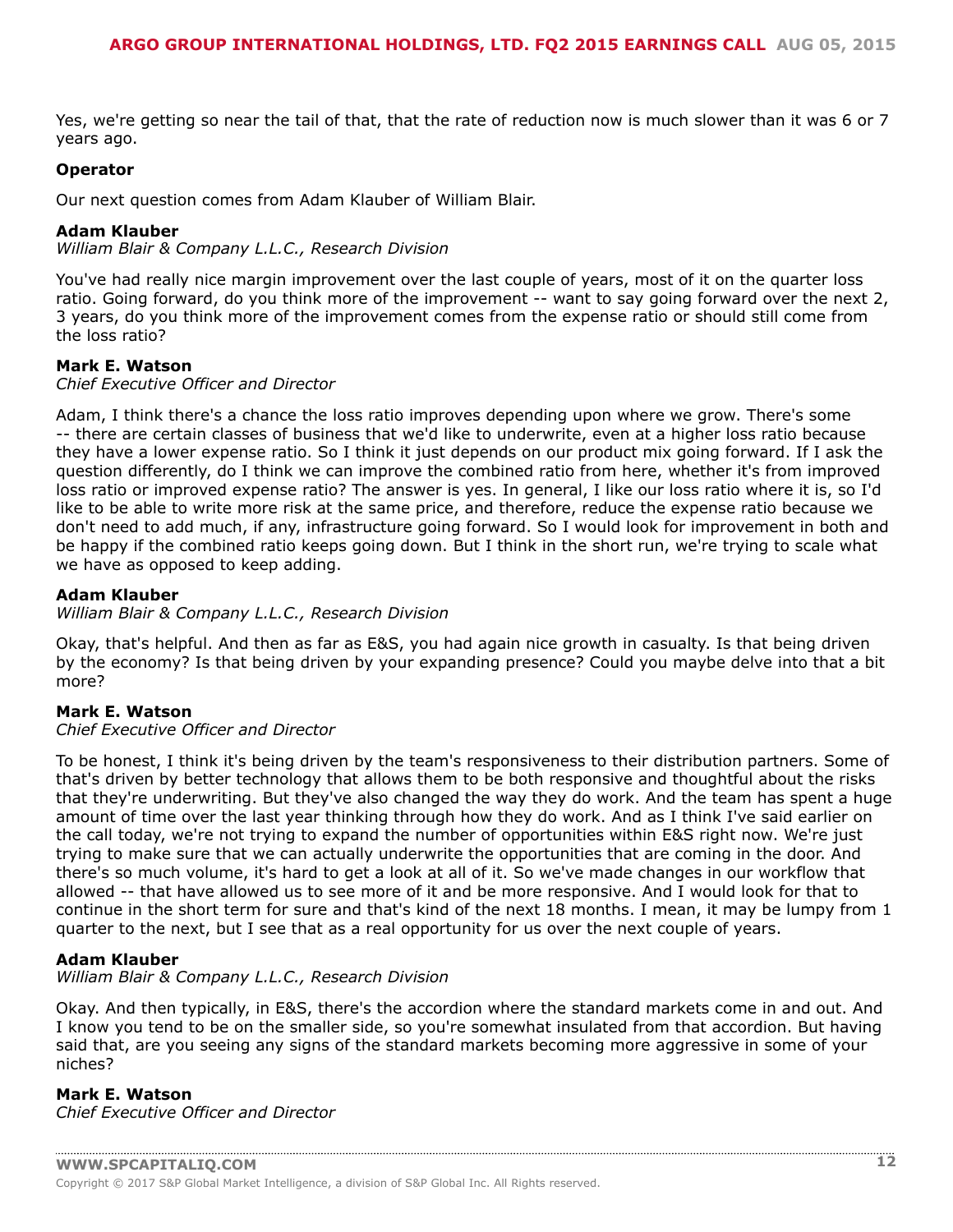$K! 8 /$   $\begin{array}{ccc} & \text{...} & \text{...} \\ \text{...} & \text{...} & \text{...} \\ \text{...} & \text{...} & \text{...} \\ \text{...} & \text{...} & \text{...} \\ \text{...} & \text{...} & \text{...} \\ \text{...} & \text{...} & \text{...} \\ \text{...} & \text{...} & \text{...} \\ \text{...} & \text{...} & \text{...} \\ \text{...} & \text{...} & \text{...} \\ \text{...} & \text{...} & \text{...} \\ \text{...} & \text{...} & \text{...} \\ \text{...} & \text{...} &$ 

 $\mathbb{R}^n$  and  $\mathbb{R}^n$ 

 $-$  (49(! '!" '\$ 'F ( "1 '7 #

 $0 \t1 \t2 \t*3$ .

 $!$  " #\$#\$ \$%

K ( /  $\frac{1}{2}$  #  $" & 8$  $\overline{a}$  $=$   $\frac{1}{2}$  $\sim 11$  $\mathbf{L}$ 

 $\mathcal{L}(\mathcal{L})$  $$ + #$ 

 $\frac{1}{2}$  $8<sup>o</sup>$  $9($ !  $-11$  $\overline{1}$  $1 - 1$ &

0 1 2  $*3$ .<br>
! "  $\#\$ \#\$ \$ \%$ 

 $\mathcal{C}=\mathcal{L}$  .

 $\sqrt{2} + \frac{1}{2}$ 

0 1 1<br>
1 8  $\frac{1}{1}$  1<br>
1 8  $\frac{1}{1}$  1<br>
1 8  $\frac{1}{8}$  1<br>
1 8  $\frac{1}{8}$  1<br>
1 8  $\frac{1}{8}$  1<br>
1 8  $\frac{1}{8}$  1<br>
1 8  $\frac{1}{8}$  1<br>
1 8 8  $\frac{1}{8}$  1<br>
1 8 8  $\frac{1}{1}$  1<br>
1 8 8 4 5<br>
1 1<br>
1 8 8 4 5<br>
1 1<br>
1 8 8 4 5<br>
1 1<br>
1 8 8 4 5 0 1 2  $*3$ .<br>
! "  $\#\$ \#\$ \$ \%$ 

 $($  #\$

 $, \qquad$  \$ + #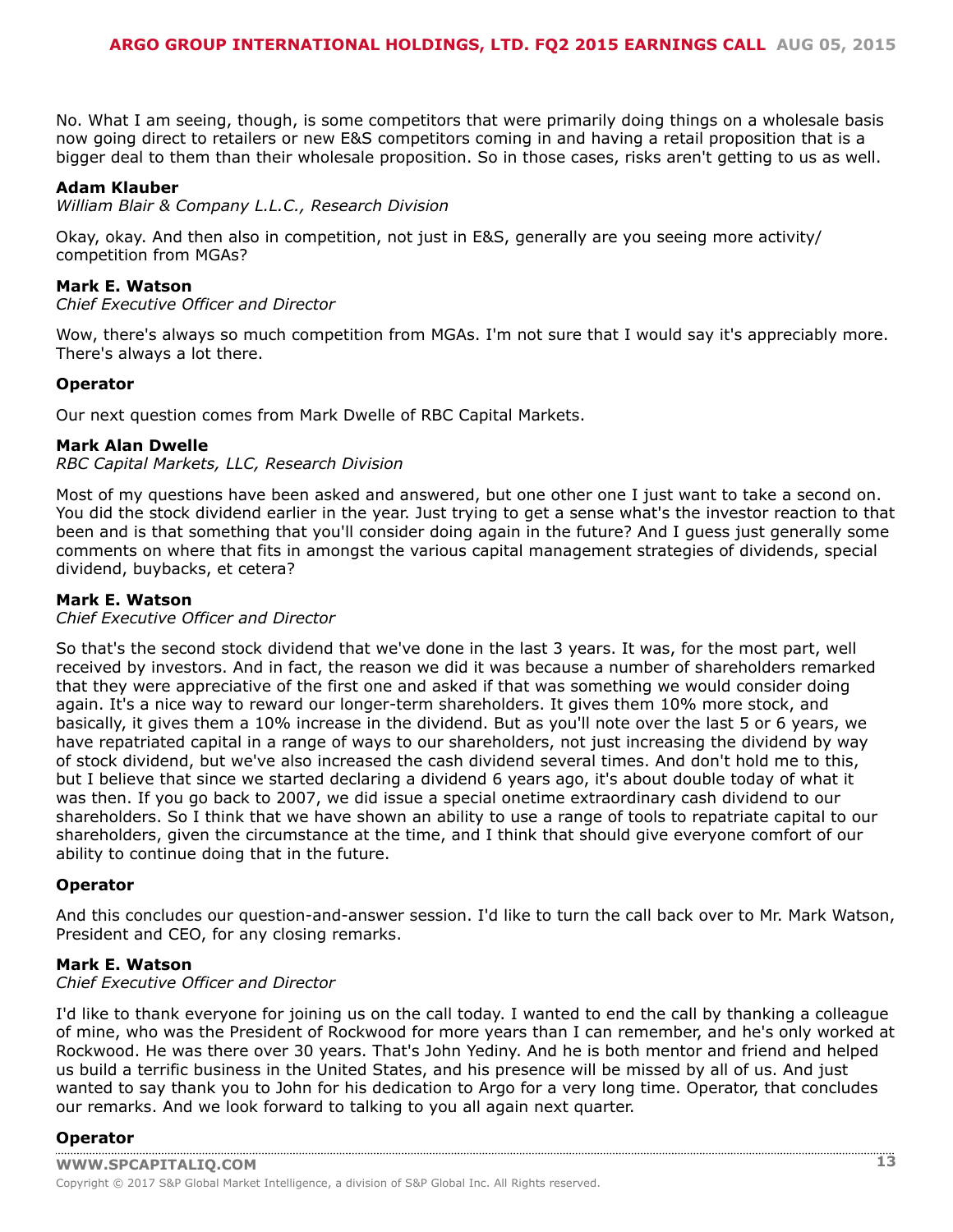0 1 2  $*3$ .<br>
! "  $\#\$ \#\$ \$ \%$  $-$  #\$  $\frac{1}{2}$  +  $\frac{1}{2}$  +  $(1 - 1)$  $\sqrt{2} + \frac{1}{2}$  $\overset{\text{\tiny{H}}}{\longrightarrow} \overset{\text{\tiny{H}}}{\longrightarrow} \overset{\text{\tiny{H}}}{\longrightarrow}$  $-$  (49(! '!" 'B& "%7  $\frac{1}{2}$   $\frac{1}{2}$   $\frac{1}{2}$   $\frac{1}{2}$   $\frac{1}{2}$   $\frac{1}{2}$   $\frac{1}{2}$   $\frac{1}{2}$   $\frac{1}{2}$   $\frac{1}{2}$   $\frac{1}{2}$   $\frac{1}{2}$   $\frac{1}{2}$   $\frac{1}{2}$   $\frac{1}{2}$   $\frac{1}{2}$   $\frac{1}{2}$   $\frac{1}{2}$   $\frac{1}{2}$   $\frac{1}{2}$   $\frac{1}{2}$   $\frac{1}{2}$  ,  $\frac{4}{1}$  6.<br> $\frac{1}{8}$  \* % ## %  $\sqrt{2} + \frac{1}{2}$  $\overline{a}$ .  $\overline{a}$  $#$  $1 \quad 1$  $\sim 1$  .  $,$  \$ + #  $\begin{array}{ccccc}\n & \wedge & & \wedge & \\
 & \wedge & & \otimes & \\
 & & \wedge & & \end{array}$ 

/<br>
"  $8 \& 1 \qquad 96 \& 4 \text{ C} \& 1 \qquad 11 \qquad 16 \qquad 11 \qquad 12 \qquad 13 \qquad 14 \qquad 15 \qquad 15 \qquad 16 \qquad 17 \qquad 18 \qquad 19 \qquad 19 \qquad 19 \qquad 19 \qquad 19 \qquad 19 \qquad 19 \qquad 19 \qquad 19 \qquad 19 \qquad 19 \qquad 19 \qquad 19 \qquad 19 \qquad 19 \qquad 19 \qquad 19 \qquad 19 \qquad 19 \qquad 19 \qquad 1$ "  $($ !#\$ H(!  $($   $\frac{1}{2}$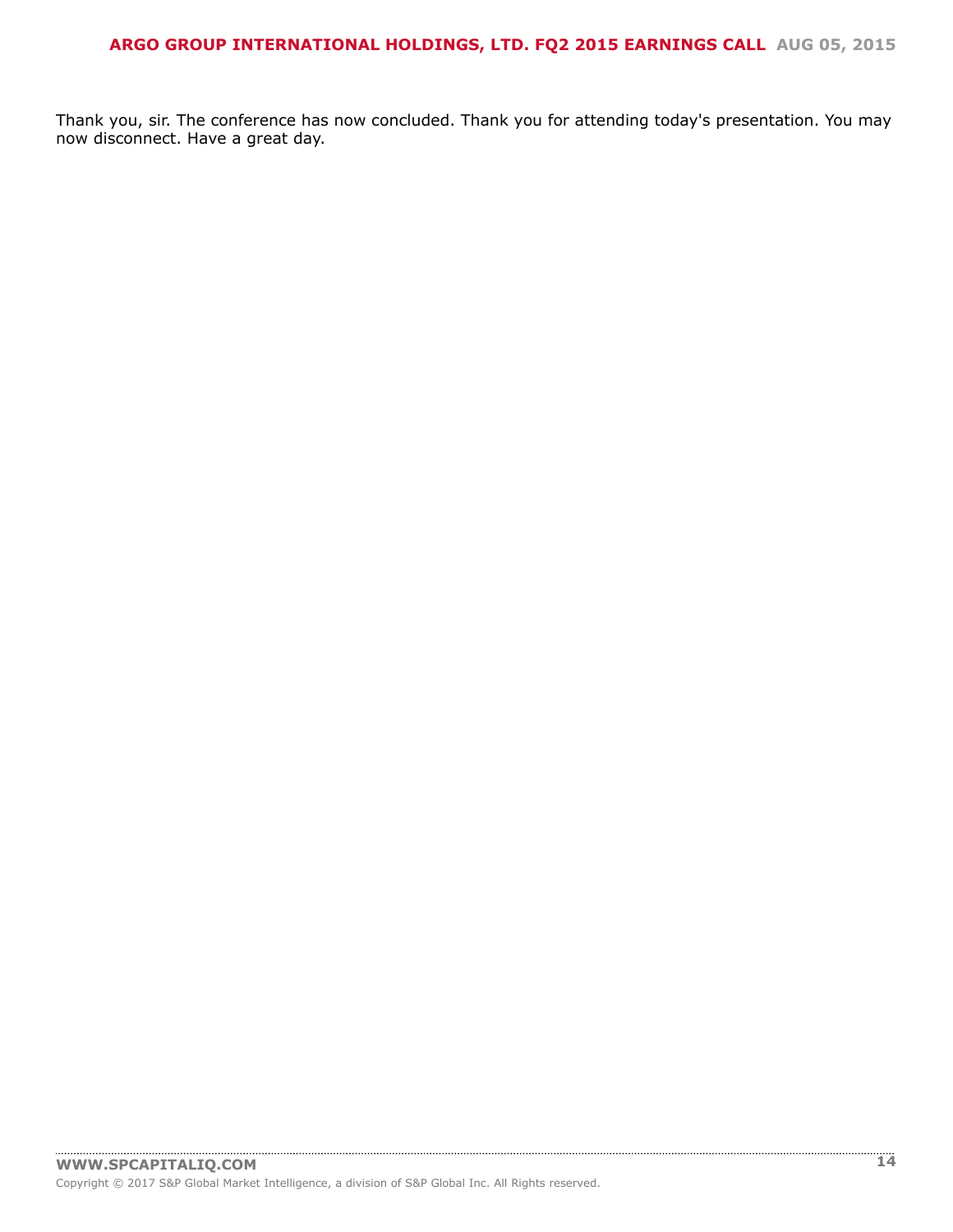|  | 0 (!#0 " !& (#0 (" /!! #K(' |  |  |  |  |  |
|--|-----------------------------|--|--|--|--|--|
|  | 8. ! #C #                   |  |  |  |  |  |